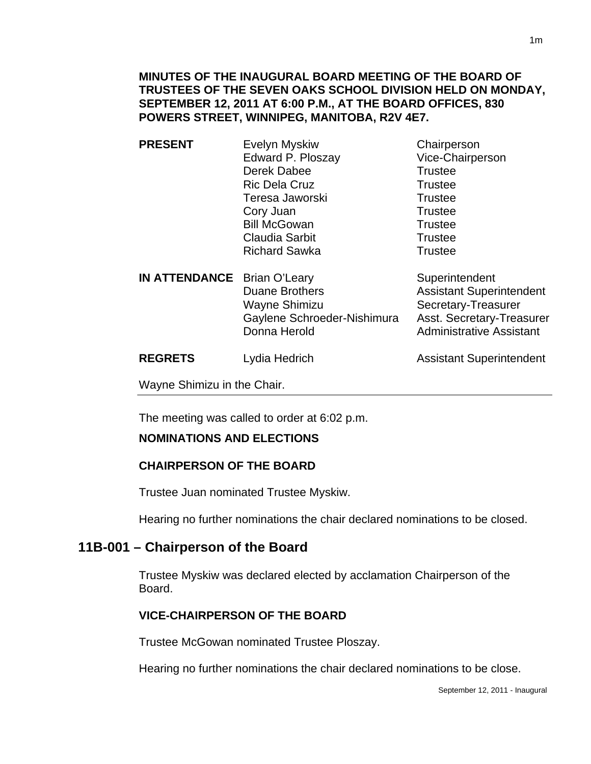**MINUTES OF THE INAUGURAL BOARD MEETING OF THE BOARD OF TRUSTEES OF THE SEVEN OAKS SCHOOL DIVISION HELD ON MONDAY, SEPTEMBER 12, 2011 AT 6:00 P.M., AT THE BOARD OFFICES, 830 POWERS STREET, WINNIPEG, MANITOBA, R2V 4E7.** 

- **PRESENT** Evelyn Myskiw Chairperson Edward P. Ploszay Vice-Chairperson Derek Dabee Trustee Ric Dela Cruz Trustee Teresa Jaworski **Trustee** Cory Juan Trustee Bill McGowan **Trustee** Claudia Sarbit **Trustee** Richard Sawka Trustee
- **IN ATTENDANCE** Brian O'Leary Superintendent Duane Brothers **Assistant Superintendent** Wayne Shimizu Secretary-Treasurer Gaylene Schroeder-Nishimura Asst. Secretary-Treasurer<br>Donna Herold **Manual Administrative Assistant**

Administrative Assistant

**REGRETS** Lydia Hedrich **Assistant Superintendent** 

Wayne Shimizu in the Chair.

The meeting was called to order at 6:02 p.m.

#### **NOMINATIONS AND ELECTIONS**

#### **CHAIRPERSON OF THE BOARD**

Trustee Juan nominated Trustee Myskiw.

Hearing no further nominations the chair declared nominations to be closed.

### **11B-001 – Chairperson of the Board**

Trustee Myskiw was declared elected by acclamation Chairperson of the Board.

### **VICE-CHAIRPERSON OF THE BOARD**

Trustee McGowan nominated Trustee Ploszay.

Hearing no further nominations the chair declared nominations to be close.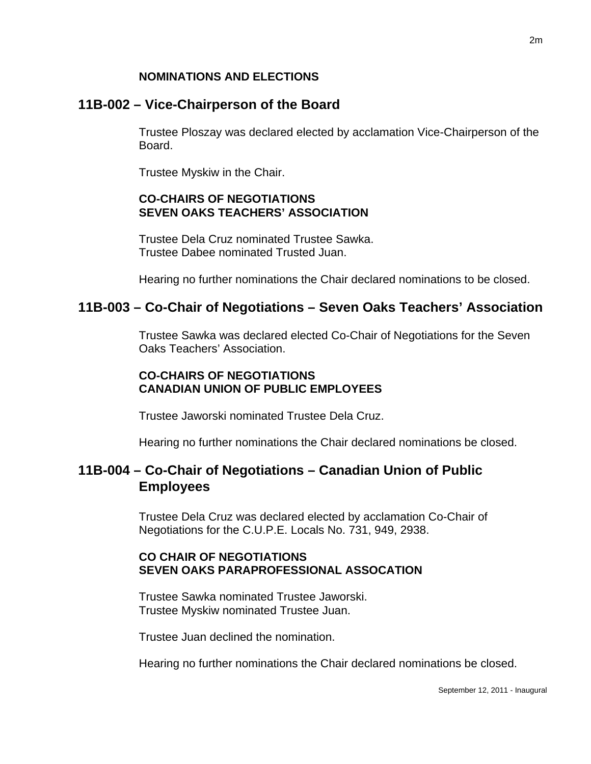### **NOMINATIONS AND ELECTIONS**

## **11B-002 – Vice-Chairperson of the Board**

Trustee Ploszay was declared elected by acclamation Vice-Chairperson of the Board.

Trustee Myskiw in the Chair.

### **CO-CHAIRS OF NEGOTIATIONS SEVEN OAKS TEACHERS' ASSOCIATION**

Trustee Dela Cruz nominated Trustee Sawka. Trustee Dabee nominated Trusted Juan.

Hearing no further nominations the Chair declared nominations to be closed.

## **11B-003 – Co-Chair of Negotiations – Seven Oaks Teachers' Association**

Trustee Sawka was declared elected Co-Chair of Negotiations for the Seven Oaks Teachers' Association.

#### **CO-CHAIRS OF NEGOTIATIONS CANADIAN UNION OF PUBLIC EMPLOYEES**

Trustee Jaworski nominated Trustee Dela Cruz.

Hearing no further nominations the Chair declared nominations be closed.

# **11B-004 – Co-Chair of Negotiations – Canadian Union of Public Employees**

Trustee Dela Cruz was declared elected by acclamation Co-Chair of Negotiations for the C.U.P.E. Locals No. 731, 949, 2938.

#### **CO CHAIR OF NEGOTIATIONS SEVEN OAKS PARAPROFESSIONAL ASSOCATION**

Trustee Sawka nominated Trustee Jaworski. Trustee Myskiw nominated Trustee Juan.

Trustee Juan declined the nomination.

Hearing no further nominations the Chair declared nominations be closed.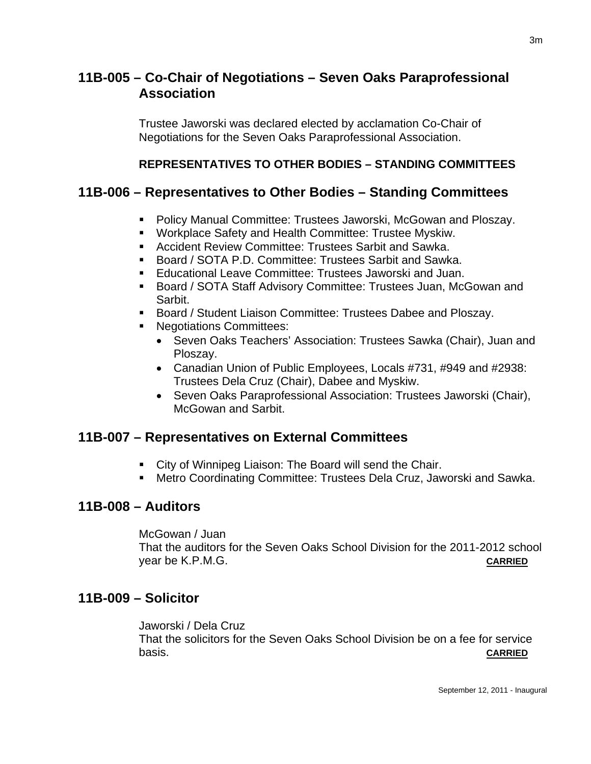# **11B-005 – Co-Chair of Negotiations – Seven Oaks Paraprofessional Association**

Trustee Jaworski was declared elected by acclamation Co-Chair of Negotiations for the Seven Oaks Paraprofessional Association.

#### **REPRESENTATIVES TO OTHER BODIES – STANDING COMMITTEES**

## **11B-006 – Representatives to Other Bodies – Standing Committees**

- Policy Manual Committee: Trustees Jaworski, McGowan and Ploszay.
- **Workplace Safety and Health Committee: Trustee Myskiw.**
- **Accident Review Committee: Trustees Sarbit and Sawka.**
- Board / SOTA P.D. Committee: Trustees Sarbit and Sawka.
- Educational Leave Committee: Trustees Jaworski and Juan.
- Board / SOTA Staff Advisory Committee: Trustees Juan, McGowan and Sarbit.
- **Board / Student Liaison Committee: Trustees Dabee and Ploszay.**
- **Negotiations Committees:** 
	- Seven Oaks Teachers' Association: Trustees Sawka (Chair), Juan and Ploszay.
	- Canadian Union of Public Employees, Locals #731, #949 and #2938: Trustees Dela Cruz (Chair), Dabee and Myskiw.
	- Seven Oaks Paraprofessional Association: Trustees Jaworski (Chair), McGowan and Sarbit.

## **11B-007 – Representatives on External Committees**

- City of Winnipeg Liaison: The Board will send the Chair.
- Metro Coordinating Committee: Trustees Dela Cruz, Jaworski and Sawka.

## **11B-008 – Auditors**

McGowan / Juan

That the auditors for the Seven Oaks School Division for the 2011-2012 school year be K.P.M.G. **CARRIED**

## **11B-009 – Solicitor**

Jaworski / Dela Cruz That the solicitors for the Seven Oaks School Division be on a fee for service basis. **CARRIED**